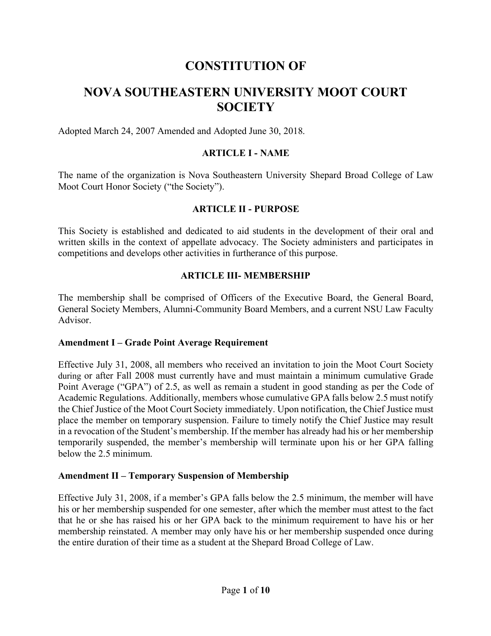# **CONSTITUTION OF**

# **NOVA SOUTHEASTERN UNIVERSITY MOOT COURT SOCIETY**

Adopted March 24, 2007 Amended and Adopted June 30, 2018.

#### **ARTICLE I - NAME**

The name of the organization is Nova Southeastern University Shepard Broad College of Law Moot Court Honor Society ("the Society").

#### **ARTICLE II - PURPOSE**

This Society is established and dedicated to aid students in the development of their oral and written skills in the context of appellate advocacy. The Society administers and participates in competitions and develops other activities in furtherance of this purpose.

#### **ARTICLE III- MEMBERSHIP**

The membership shall be comprised of Officers of the Executive Board, the General Board, General Society Members, Alumni-Community Board Members, and a current NSU Law Faculty Advisor.

#### **Amendment I – Grade Point Average Requirement**

Effective July 31, 2008, all members who received an invitation to join the Moot Court Society during or after Fall 2008 must currently have and must maintain a minimum cumulative Grade Point Average ("GPA") of 2.5, as well as remain a student in good standing as per the Code of Academic Regulations. Additionally, members whose cumulative GPA falls below 2.5 must notify the Chief Justice of the Moot Court Society immediately. Upon notification, the Chief Justice must place the member on temporary suspension. Failure to timely notify the Chief Justice may result in a revocation of the Student's membership. If the member has already had his or her membership temporarily suspended, the member's membership will terminate upon his or her GPA falling below the 2.5 minimum.

#### **Amendment II – Temporary Suspension of Membership**

Effective July 31, 2008, if a member's GPA falls below the 2.5 minimum, the member will have his or her membership suspended for one semester, after which the member must attest to the fact that he or she has raised his or her GPA back to the minimum requirement to have his or her membership reinstated. A member may only have his or her membership suspended once during the entire duration of their time as a student at the Shepard Broad College of Law.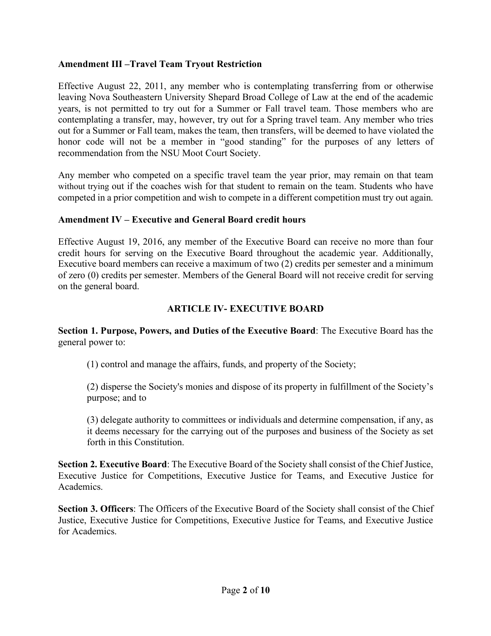#### **Amendment III –Travel Team Tryout Restriction**

Effective August 22, 2011, any member who is contemplating transferring from or otherwise leaving Nova Southeastern University Shepard Broad College of Law at the end of the academic years, is not permitted to try out for a Summer or Fall travel team. Those members who are contemplating a transfer, may, however, try out for a Spring travel team. Any member who tries out for a Summer or Fall team, makes the team, then transfers, will be deemed to have violated the honor code will not be a member in "good standing" for the purposes of any letters of recommendation from the NSU Moot Court Society.

Any member who competed on a specific travel team the year prior, may remain on that team without trying out if the coaches wish for that student to remain on the team. Students who have competed in a prior competition and wish to compete in a different competition must try out again.

#### **Amendment IV – Executive and General Board credit hours**

Effective August 19, 2016, any member of the Executive Board can receive no more than four credit hours for serving on the Executive Board throughout the academic year. Additionally, Executive board members can receive a maximum of two (2) credits per semester and a minimum of zero (0) credits per semester. Members of the General Board will not receive credit for serving on the general board.

### **ARTICLE IV- EXECUTIVE BOARD**

**Section 1. Purpose, Powers, and Duties of the Executive Board**: The Executive Board has the general power to:

(1) control and manage the affairs, funds, and property of the Society;

(2) disperse the Society's monies and dispose of its property in fulfillment of the Society's purpose; and to

(3) delegate authority to committees or individuals and determine compensation, if any, as it deems necessary for the carrying out of the purposes and business of the Society as set forth in this Constitution.

**Section 2. Executive Board**: The Executive Board of the Society shall consist of the Chief Justice, Executive Justice for Competitions, Executive Justice for Teams, and Executive Justice for Academics.

**Section 3. Officers**: The Officers of the Executive Board of the Society shall consist of the Chief Justice, Executive Justice for Competitions, Executive Justice for Teams, and Executive Justice for Academics.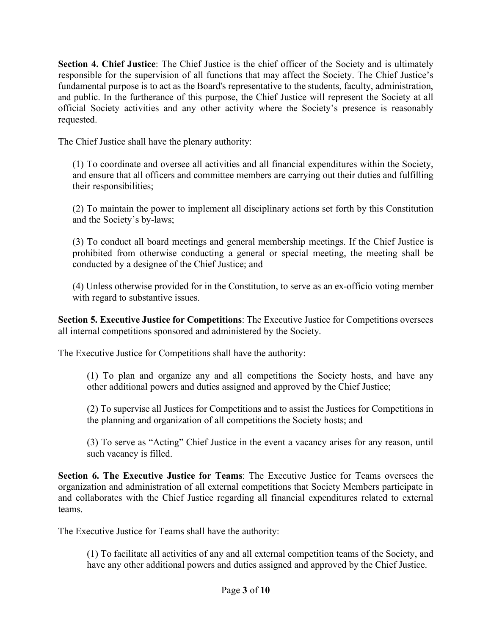**Section 4. Chief Justice**: The Chief Justice is the chief officer of the Society and is ultimately responsible for the supervision of all functions that may affect the Society. The Chief Justice's fundamental purpose is to act as the Board's representative to the students, faculty, administration, and public. In the furtherance of this purpose, the Chief Justice will represent the Society at all official Society activities and any other activity where the Society's presence is reasonably requested.

The Chief Justice shall have the plenary authority:

(1) To coordinate and oversee all activities and all financial expenditures within the Society, and ensure that all officers and committee members are carrying out their duties and fulfilling their responsibilities;

(2) To maintain the power to implement all disciplinary actions set forth by this Constitution and the Society's by-laws;

(3) To conduct all board meetings and general membership meetings. If the Chief Justice is prohibited from otherwise conducting a general or special meeting, the meeting shall be conducted by a designee of the Chief Justice; and

(4) Unless otherwise provided for in the Constitution, to serve as an ex-officio voting member with regard to substantive issues.

**Section 5. Executive Justice for Competitions**: The Executive Justice for Competitions oversees all internal competitions sponsored and administered by the Society.

The Executive Justice for Competitions shall have the authority:

(1) To plan and organize any and all competitions the Society hosts, and have any other additional powers and duties assigned and approved by the Chief Justice;

(2) To supervise all Justices for Competitions and to assist the Justices for Competitions in the planning and organization of all competitions the Society hosts; and

(3) To serve as "Acting" Chief Justice in the event a vacancy arises for any reason, until such vacancy is filled.

**Section 6. The Executive Justice for Teams**: The Executive Justice for Teams oversees the organization and administration of all external competitions that Society Members participate in and collaborates with the Chief Justice regarding all financial expenditures related to external teams.

The Executive Justice for Teams shall have the authority:

(1) To facilitate all activities of any and all external competition teams of the Society, and have any other additional powers and duties assigned and approved by the Chief Justice.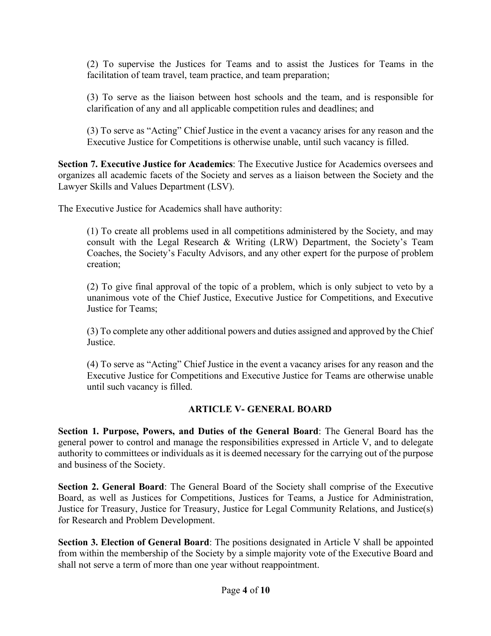(2) To supervise the Justices for Teams and to assist the Justices for Teams in the facilitation of team travel, team practice, and team preparation;

(3) To serve as the liaison between host schools and the team, and is responsible for clarification of any and all applicable competition rules and deadlines; and

(3) To serve as "Acting" Chief Justice in the event a vacancy arises for any reason and the Executive Justice for Competitions is otherwise unable, until such vacancy is filled.

**Section 7. Executive Justice for Academics**: The Executive Justice for Academics oversees and organizes all academic facets of the Society and serves as a liaison between the Society and the Lawyer Skills and Values Department (LSV).

The Executive Justice for Academics shall have authority:

(1) To create all problems used in all competitions administered by the Society, and may consult with the Legal Research & Writing (LRW) Department, the Society's Team Coaches, the Society's Faculty Advisors, and any other expert for the purpose of problem creation;

(2) To give final approval of the topic of a problem, which is only subject to veto by a unanimous vote of the Chief Justice, Executive Justice for Competitions, and Executive Justice for Teams;

(3) To complete any other additional powers and duties assigned and approved by the Chief **Justice** 

(4) To serve as "Acting" Chief Justice in the event a vacancy arises for any reason and the Executive Justice for Competitions and Executive Justice for Teams are otherwise unable until such vacancy is filled.

### **ARTICLE V- GENERAL BOARD**

**Section 1. Purpose, Powers, and Duties of the General Board**: The General Board has the general power to control and manage the responsibilities expressed in Article V, and to delegate authority to committees or individuals as it is deemed necessary for the carrying out of the purpose and business of the Society.

**Section 2. General Board**: The General Board of the Society shall comprise of the Executive Board, as well as Justices for Competitions, Justices for Teams, a Justice for Administration, Justice for Treasury, Justice for Treasury, Justice for Legal Community Relations, and Justice(s) for Research and Problem Development.

**Section 3. Election of General Board**: The positions designated in Article V shall be appointed from within the membership of the Society by a simple majority vote of the Executive Board and shall not serve a term of more than one year without reappointment.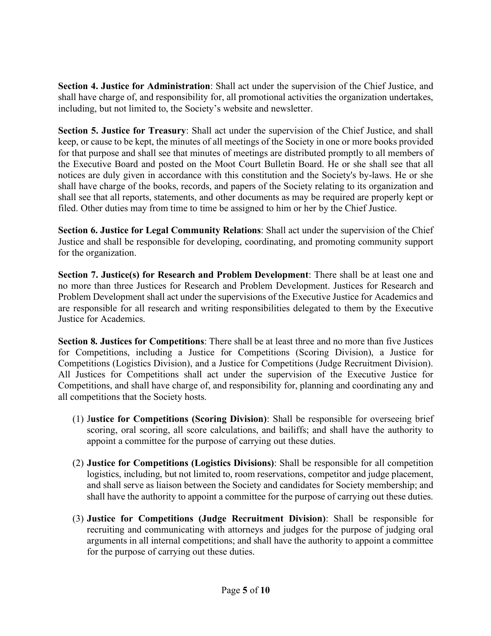**Section 4. Justice for Administration**: Shall act under the supervision of the Chief Justice, and shall have charge of, and responsibility for, all promotional activities the organization undertakes, including, but not limited to, the Society's website and newsletter.

**Section 5. Justice for Treasury**: Shall act under the supervision of the Chief Justice, and shall keep, or cause to be kept, the minutes of all meetings of the Society in one or more books provided for that purpose and shall see that minutes of meetings are distributed promptly to all members of the Executive Board and posted on the Moot Court Bulletin Board. He or she shall see that all notices are duly given in accordance with this constitution and the Society's by-laws. He or she shall have charge of the books, records, and papers of the Society relating to its organization and shall see that all reports, statements, and other documents as may be required are properly kept or filed. Other duties may from time to time be assigned to him or her by the Chief Justice.

**Section 6. Justice for Legal Community Relations**: Shall act under the supervision of the Chief Justice and shall be responsible for developing, coordinating, and promoting community support for the organization.

**Section 7. Justice(s) for Research and Problem Development**: There shall be at least one and no more than three Justices for Research and Problem Development. Justices for Research and Problem Development shall act under the supervisions of the Executive Justice for Academics and are responsible for all research and writing responsibilities delegated to them by the Executive Justice for Academics.

**Section 8. Justices for Competitions**: There shall be at least three and no more than five Justices for Competitions, including a Justice for Competitions (Scoring Division), a Justice for Competitions (Logistics Division), and a Justice for Competitions (Judge Recruitment Division). All Justices for Competitions shall act under the supervision of the Executive Justice for Competitions, and shall have charge of, and responsibility for, planning and coordinating any and all competitions that the Society hosts.

- (1) J**ustice for Competitions (Scoring Division)**: Shall be responsible for overseeing brief scoring, oral scoring, all score calculations, and bailiffs; and shall have the authority to appoint a committee for the purpose of carrying out these duties.
- (2) **Justice for Competitions (Logistics Divisions)**: Shall be responsible for all competition logistics, including, but not limited to, room reservations, competitor and judge placement, and shall serve as liaison between the Society and candidates for Society membership; and shall have the authority to appoint a committee for the purpose of carrying out these duties.
- (3) **Justice for Competitions (Judge Recruitment Division)**: Shall be responsible for recruiting and communicating with attorneys and judges for the purpose of judging oral arguments in all internal competitions; and shall have the authority to appoint a committee for the purpose of carrying out these duties.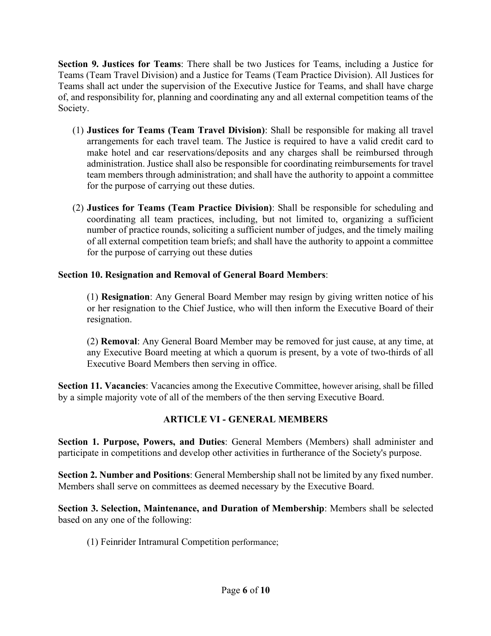**Section 9. Justices for Teams**: There shall be two Justices for Teams, including a Justice for Teams (Team Travel Division) and a Justice for Teams (Team Practice Division). All Justices for Teams shall act under the supervision of the Executive Justice for Teams, and shall have charge of, and responsibility for, planning and coordinating any and all external competition teams of the Society.

- (1) **Justices for Teams (Team Travel Division)**: Shall be responsible for making all travel arrangements for each travel team. The Justice is required to have a valid credit card to make hotel and car reservations/deposits and any charges shall be reimbursed through administration. Justice shall also be responsible for coordinating reimbursements for travel team members through administration; and shall have the authority to appoint a committee for the purpose of carrying out these duties.
- (2) **Justices for Teams (Team Practice Division)**: Shall be responsible for scheduling and coordinating all team practices, including, but not limited to, organizing a sufficient number of practice rounds, soliciting a sufficient number of judges, and the timely mailing of all external competition team briefs; and shall have the authority to appoint a committee for the purpose of carrying out these duties

### **Section 10. Resignation and Removal of General Board Members**:

(1) **Resignation**: Any General Board Member may resign by giving written notice of his or her resignation to the Chief Justice, who will then inform the Executive Board of their resignation.

(2) **Removal**: Any General Board Member may be removed for just cause, at any time, at any Executive Board meeting at which a quorum is present, by a vote of two-thirds of all Executive Board Members then serving in office.

**Section 11. Vacancies**: Vacancies among the Executive Committee, however arising, shall be filled by a simple majority vote of all of the members of the then serving Executive Board.

# **ARTICLE VI - GENERAL MEMBERS**

**Section 1. Purpose, Powers, and Duties**: General Members (Members) shall administer and participate in competitions and develop other activities in furtherance of the Society's purpose.

**Section 2. Number and Positions**: General Membership shall not be limited by any fixed number. Members shall serve on committees as deemed necessary by the Executive Board.

**Section 3. Selection, Maintenance, and Duration of Membership**: Members shall be selected based on any one of the following:

(1) Feinrider Intramural Competition performance;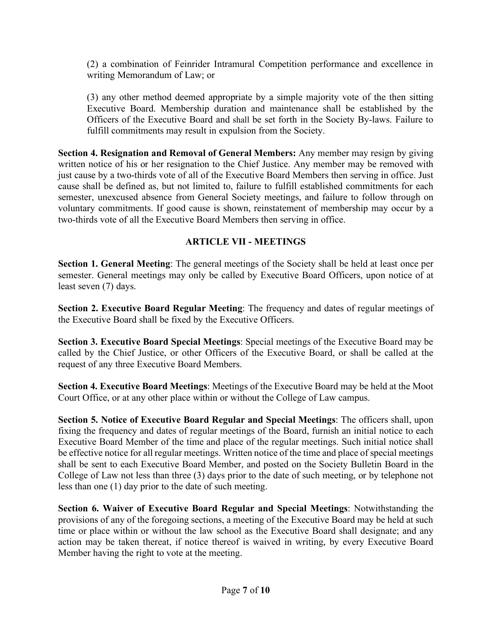(2) a combination of Feinrider Intramural Competition performance and excellence in writing Memorandum of Law; or

(3) any other method deemed appropriate by a simple majority vote of the then sitting Executive Board. Membership duration and maintenance shall be established by the Officers of the Executive Board and shall be set forth in the Society By-laws. Failure to fulfill commitments may result in expulsion from the Society.

**Section 4. Resignation and Removal of General Members:** Any member may resign by giving written notice of his or her resignation to the Chief Justice. Any member may be removed with just cause by a two-thirds vote of all of the Executive Board Members then serving in office. Just cause shall be defined as, but not limited to, failure to fulfill established commitments for each semester, unexcused absence from General Society meetings, and failure to follow through on voluntary commitments. If good cause is shown, reinstatement of membership may occur by a two-thirds vote of all the Executive Board Members then serving in office.

### **ARTICLE VII - MEETINGS**

**Section 1. General Meeting**: The general meetings of the Society shall be held at least once per semester. General meetings may only be called by Executive Board Officers, upon notice of at least seven (7) days.

**Section 2. Executive Board Regular Meeting**: The frequency and dates of regular meetings of the Executive Board shall be fixed by the Executive Officers.

**Section 3. Executive Board Special Meetings**: Special meetings of the Executive Board may be called by the Chief Justice, or other Officers of the Executive Board, or shall be called at the request of any three Executive Board Members.

**Section 4. Executive Board Meetings**: Meetings of the Executive Board may be held at the Moot Court Office, or at any other place within or without the College of Law campus.

**Section 5. Notice of Executive Board Regular and Special Meetings**: The officers shall, upon fixing the frequency and dates of regular meetings of the Board, furnish an initial notice to each Executive Board Member of the time and place of the regular meetings. Such initial notice shall be effective notice for all regular meetings. Written notice of the time and place of special meetings shall be sent to each Executive Board Member, and posted on the Society Bulletin Board in the College of Law not less than three (3) days prior to the date of such meeting, or by telephone not less than one (1) day prior to the date of such meeting.

**Section 6. Waiver of Executive Board Regular and Special Meetings**: Notwithstanding the provisions of any of the foregoing sections, a meeting of the Executive Board may be held at such time or place within or without the law school as the Executive Board shall designate; and any action may be taken thereat, if notice thereof is waived in writing, by every Executive Board Member having the right to vote at the meeting.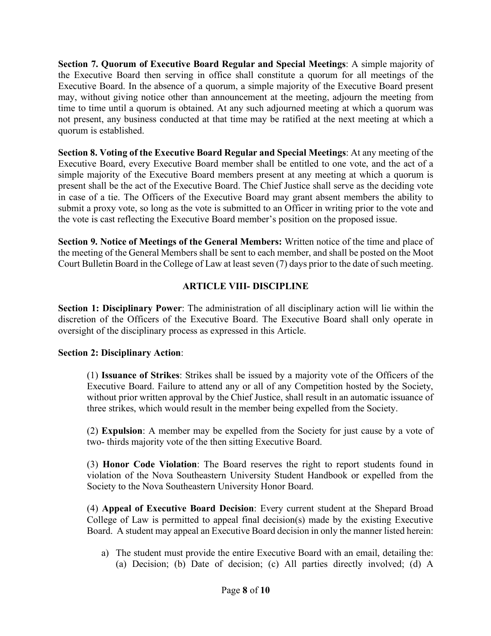**Section 7. Quorum of Executive Board Regular and Special Meetings**: A simple majority of the Executive Board then serving in office shall constitute a quorum for all meetings of the Executive Board. In the absence of a quorum, a simple majority of the Executive Board present may, without giving notice other than announcement at the meeting, adjourn the meeting from time to time until a quorum is obtained. At any such adjourned meeting at which a quorum was not present, any business conducted at that time may be ratified at the next meeting at which a quorum is established.

**Section 8. Voting of the Executive Board Regular and Special Meetings**: At any meeting of the Executive Board, every Executive Board member shall be entitled to one vote, and the act of a simple majority of the Executive Board members present at any meeting at which a quorum is present shall be the act of the Executive Board. The Chief Justice shall serve as the deciding vote in case of a tie. The Officers of the Executive Board may grant absent members the ability to submit a proxy vote, so long as the vote is submitted to an Officer in writing prior to the vote and the vote is cast reflecting the Executive Board member's position on the proposed issue.

**Section 9. Notice of Meetings of the General Members:** Written notice of the time and place of the meeting of the General Members shall be sent to each member, and shall be posted on the Moot Court Bulletin Board in the College of Law at least seven (7) days prior to the date of such meeting.

### **ARTICLE VIII- DISCIPLINE**

**Section 1: Disciplinary Power**: The administration of all disciplinary action will lie within the discretion of the Officers of the Executive Board. The Executive Board shall only operate in oversight of the disciplinary process as expressed in this Article.

### **Section 2: Disciplinary Action**:

(1) **Issuance of Strikes**: Strikes shall be issued by a majority vote of the Officers of the Executive Board. Failure to attend any or all of any Competition hosted by the Society, without prior written approval by the Chief Justice, shall result in an automatic issuance of three strikes, which would result in the member being expelled from the Society.

(2) **Expulsion**: A member may be expelled from the Society for just cause by a vote of two- thirds majority vote of the then sitting Executive Board.

(3) **Honor Code Violation**: The Board reserves the right to report students found in violation of the Nova Southeastern University Student Handbook or expelled from the Society to the Nova Southeastern University Honor Board.

(4) **Appeal of Executive Board Decision**: Every current student at the Shepard Broad College of Law is permitted to appeal final decision(s) made by the existing Executive Board. A student may appeal an Executive Board decision in only the manner listed herein:

a) The student must provide the entire Executive Board with an email, detailing the: (a) Decision; (b) Date of decision; (c) All parties directly involved; (d) A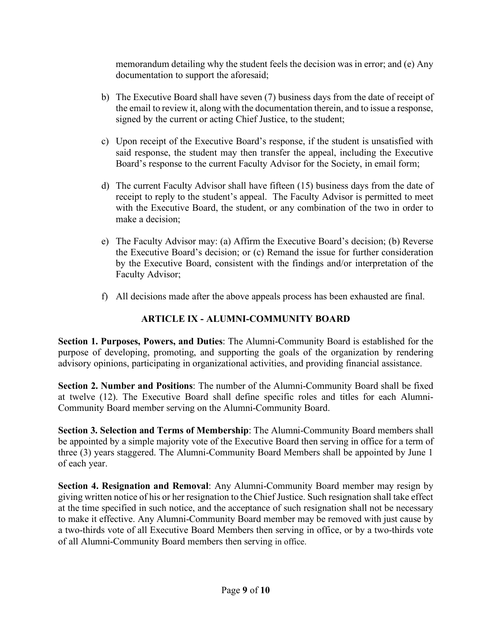memorandum detailing why the student feels the decision was in error; and (e) Any documentation to support the aforesaid;

- b) The Executive Board shall have seven (7) business days from the date of receipt of the email to review it, along with the documentation therein, and to issue a response, signed by the current or acting Chief Justice, to the student;
- c) Upon receipt of the Executive Board's response, if the student is unsatisfied with said response, the student may then transfer the appeal, including the Executive Board's response to the current Faculty Advisor for the Society, in email form;
- d) The current Faculty Advisor shall have fifteen (15) business days from the date of receipt to reply to the student's appeal. The Faculty Advisor is permitted to meet with the Executive Board, the student, or any combination of the two in order to make a decision;
- e) The Faculty Advisor may: (a) Affirm the Executive Board's decision; (b) Reverse the Executive Board's decision; or (c) Remand the issue for further consideration by the Executive Board, consistent with the findings and/or interpretation of the Faculty Advisor;
- f) All decisions made after the above appeals process has been exhausted are final.

## **ARTICLE IX - ALUMNI-COMMUNITY BOARD**

**Section 1. Purposes, Powers, and Duties**: The Alumni-Community Board is established for the purpose of developing, promoting, and supporting the goals of the organization by rendering advisory opinions, participating in organizational activities, and providing financial assistance.

**Section 2. Number and Positions**: The number of the Alumni-Community Board shall be fixed at twelve (12). The Executive Board shall define specific roles and titles for each Alumni-Community Board member serving on the Alumni-Community Board.

**Section 3. Selection and Terms of Membership**: The Alumni-Community Board members shall be appointed by a simple majority vote of the Executive Board then serving in office for a term of three (3) years staggered. The Alumni-Community Board Members shall be appointed by June 1 of each year.

**Section 4. Resignation and Removal**: Any Alumni-Community Board member may resign by giving written notice of his or her resignation to the Chief Justice. Such resignation shall take effect at the time specified in such notice, and the acceptance of such resignation shall not be necessary to make it effective. Any Alumni-Community Board member may be removed with just cause by a two-thirds vote of all Executive Board Members then serving in office, or by a two-thirds vote of all Alumni-Community Board members then serving in office.